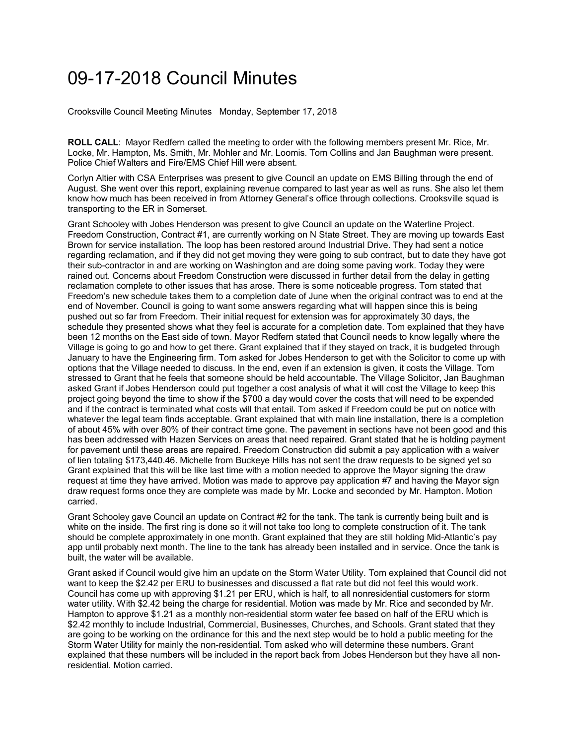## 09-17-2018 Council Minutes

Crooksville Council Meeting Minutes Monday, September 17, 2018

**ROLL CALL**: Mayor Redfern called the meeting to order with the following members present Mr. Rice, Mr. Locke, Mr. Hampton, Ms. Smith, Mr. Mohler and Mr. Loomis. Tom Collins and Jan Baughman were present. Police Chief Walters and Fire/EMS Chief Hill were absent.

Corlyn Altier with CSA Enterprises was present to give Council an update on EMS Billing through the end of August. She went over this report, explaining revenue compared to last year as well as runs. She also let them know how much has been received in from Attorney General's office through collections. Crooksville squad is transporting to the ER in Somerset.

Grant Schooley with Jobes Henderson was present to give Council an update on the Waterline Project. Freedom Construction, Contract #1, are currently working on N State Street. They are moving up towards East Brown for service installation. The loop has been restored around Industrial Drive. They had sent a notice regarding reclamation, and if they did not get moving they were going to sub contract, but to date they have got their sub-contractor in and are working on Washington and are doing some paving work. Today they were rained out. Concerns about Freedom Construction were discussed in further detail from the delay in getting reclamation complete to other issues that has arose. There is some noticeable progress. Tom stated that Freedom's new schedule takes them to a completion date of June when the original contract was to end at the end of November. Council is going to want some answers regarding what will happen since this is being pushed out so far from Freedom. Their initial request for extension was for approximately 30 days, the schedule they presented shows what they feel is accurate for a completion date. Tom explained that they have been 12 months on the East side of town. Mayor Redfern stated that Council needs to know legally where the Village is going to go and how to get there. Grant explained that if they stayed on track, it is budgeted through January to have the Engineering firm. Tom asked for Jobes Henderson to get with the Solicitor to come up with options that the Village needed to discuss. In the end, even if an extension is given, it costs the Village. Tom stressed to Grant that he feels that someone should be held accountable. The Village Solicitor, Jan Baughman asked Grant if Jobes Henderson could put together a cost analysis of what it will cost the Village to keep this project going beyond the time to show if the \$700 a day would cover the costs that will need to be expended and if the contract is terminated what costs will that entail. Tom asked if Freedom could be put on notice with whatever the legal team finds acceptable. Grant explained that with main line installation, there is a completion of about 45% with over 80% of their contract time gone. The pavement in sections have not been good and this has been addressed with Hazen Services on areas that need repaired. Grant stated that he is holding payment for pavement until these areas are repaired. Freedom Construction did submit a pay application with a waiver of lien totaling \$173,440.46. Michelle from Buckeye Hills has not sent the draw requests to be signed yet so Grant explained that this will be like last time with a motion needed to approve the Mayor signing the draw request at time they have arrived. Motion was made to approve pay application #7 and having the Mayor sign draw request forms once they are complete was made by Mr. Locke and seconded by Mr. Hampton. Motion carried.

Grant Schooley gave Council an update on Contract #2 for the tank. The tank is currently being built and is white on the inside. The first ring is done so it will not take too long to complete construction of it. The tank should be complete approximately in one month. Grant explained that they are still holding Mid-Atlantic's pay app until probably next month. The line to the tank has already been installed and in service. Once the tank is built, the water will be available.

Grant asked if Council would give him an update on the Storm Water Utility. Tom explained that Council did not want to keep the \$2.42 per ERU to businesses and discussed a flat rate but did not feel this would work. Council has come up with approving \$1.21 per ERU, which is half, to all nonresidential customers for storm water utility. With \$2.42 being the charge for residential. Motion was made by Mr. Rice and seconded by Mr. Hampton to approve \$1.21 as a monthly non-residential storm water fee based on half of the ERU which is \$2.42 monthly to include Industrial, Commercial, Businesses, Churches, and Schools. Grant stated that they are going to be working on the ordinance for this and the next step would be to hold a public meeting for the Storm Water Utility for mainly the non-residential. Tom asked who will determine these numbers. Grant explained that these numbers will be included in the report back from Jobes Henderson but they have all nonresidential. Motion carried.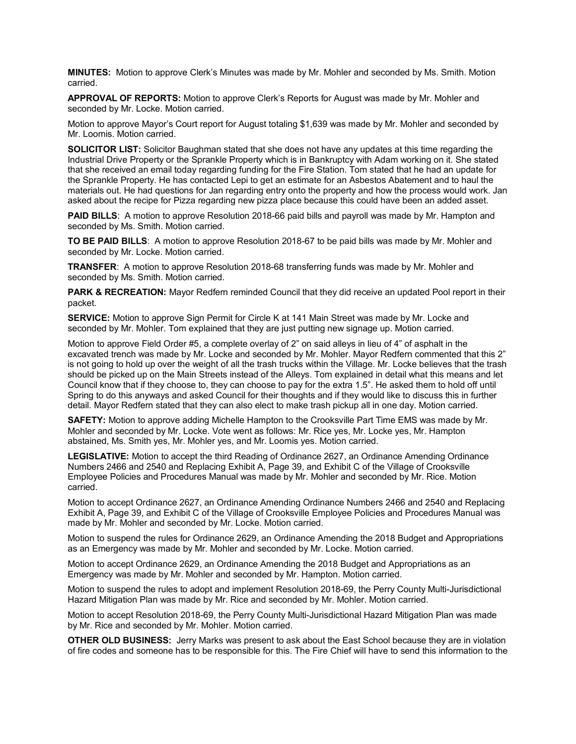**MINUTES:** Motion to approve Clerk's Minutes was made by Mr. Mohler and seconded by Ms. Smith. Motion carried.

**APPROVAL OF REPORTS:** Motion to approve Clerk's Reports for August was made by Mr. Mohler and seconded by Mr. Locke. Motion carried.

Motion to approve Mayor's Court report for August totaling \$1,639 was made by Mr. Mohler and seconded by Mr. Loomis. Motion carried.

**SOLICITOR LIST:** Solicitor Baughman stated that she does not have any updates at this time regarding the Industrial Drive Property or the Sprankle Property which is in Bankruptcy with Adam working on it. She stated that she received an email today regarding funding for the Fire Station. Tom stated that he had an update for the Sprankle Property. He has contacted Lepi to get an estimate for an Asbestos Abatement and to haul the materials out. He had questions for Jan regarding entry onto the property and how the process would work. Jan asked about the recipe for Pizza regarding new pizza place because this could have been an added asset.

**PAID BILLS**: A motion to approve Resolution 2018-66 paid bills and payroll was made by Mr. Hampton and seconded by Ms. Smith. Motion carried.

**TO BE PAID BILLS**: A motion to approve Resolution 2018-67 to be paid bills was made by Mr. Mohler and seconded by Mr. Locke. Motion carried.

**TRANSFER**: A motion to approve Resolution 2018-68 transferring funds was made by Mr. Mohler and seconded by Ms. Smith. Motion carried.

**PARK & RECREATION:** Mayor Redfern reminded Council that they did receive an updated Pool report in their packet.

**SERVICE:** Motion to approve Sign Permit for Circle K at 141 Main Street was made by Mr. Locke and seconded by Mr. Mohler. Tom explained that they are just putting new signage up. Motion carried.

Motion to approve Field Order #5, a complete overlay of 2" on said alleys in lieu of 4" of asphalt in the excavated trench was made by Mr. Locke and seconded by Mr. Mohler. Mayor Redfern commented that this 2" is not going to hold up over the weight of all the trash trucks within the Village. Mr. Locke believes that the trash should be picked up on the Main Streets instead of the Alleys. Tom explained in detail what this means and let Council know that if they choose to, they can choose to pay for the extra 1.5". He asked them to hold off until Spring to do this anyways and asked Council for their thoughts and if they would like to discuss this in further detail. Mayor Redfern stated that they can also elect to make trash pickup all in one day. Motion carried.

**SAFETY:** Motion to approve adding Michelle Hampton to the Crooksville Part Time EMS was made by Mr. Mohler and seconded by Mr. Locke. Vote went as follows: Mr. Rice yes, Mr. Locke yes, Mr. Hampton abstained, Ms. Smith yes, Mr. Mohler yes, and Mr. Loomis yes. Motion carried.

**LEGISLATIVE:** Motion to accept the third Reading of Ordinance 2627, an Ordinance Amending Ordinance Numbers 2466 and 2540 and Replacing Exhibit A, Page 39, and Exhibit C of the Village of Crooksville Employee Policies and Procedures Manual was made by Mr. Mohler and seconded by Mr. Rice. Motion carried.

Motion to accept Ordinance 2627, an Ordinance Amending Ordinance Numbers 2466 and 2540 and Replacing Exhibit A, Page 39, and Exhibit C of the Village of Crooksville Employee Policies and Procedures Manual was made by Mr. Mohler and seconded by Mr. Locke. Motion carried.

Motion to suspend the rules for Ordinance 2629, an Ordinance Amending the 2018 Budget and Appropriations as an Emergency was made by Mr. Mohler and seconded by Mr. Locke. Motion carried.

Motion to accept Ordinance 2629, an Ordinance Amending the 2018 Budget and Appropriations as an Emergency was made by Mr. Mohler and seconded by Mr. Hampton. Motion carried.

Motion to suspend the rules to adopt and implement Resolution 2018-69, the Perry County Multi-Jurisdictional Hazard Mitigation Plan was made by Mr. Rice and seconded by Mr. Mohler. Motion carried.

Motion to accept Resolution 2018-69, the Perry County Multi-Jurisdictional Hazard Mitigation Plan was made by Mr. Rice and seconded by Mr. Mohler. Motion carried.

**OTHER OLD BUSINESS:** Jerry Marks was present to ask about the East School because they are in violation of fire codes and someone has to be responsible for this. The Fire Chief will have to send this information to the